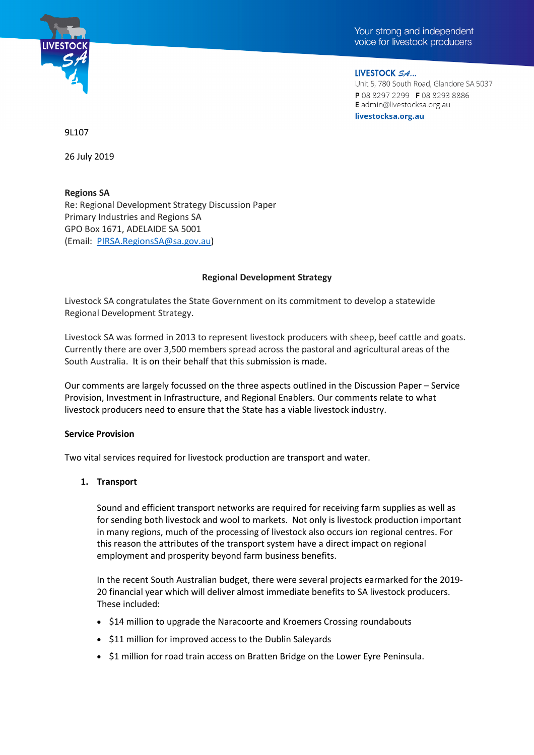

Your strong and independent voice for livestock producers

LIVESTOCK SA... Unit 5, 780 South Road, Glandore SA 5037 P 08 8297 2299 F 08 8293 8886 E admin@livestocksa.org.au livestocksa.org.au

9L107

26 July 2019

**Regions SA** Re: Regional Development Strategy Discussion Paper Primary Industries and Regions SA GPO Box 1671, ADELAIDE SA 5001 (Email: [PIRSA.RegionsSA@sa.gov.au\)](mailto:PIRSA.RegionsSA@sa.gov.au)

### **Regional Development Strategy**

Livestock SA congratulates the State Government on its commitment to develop a statewide Regional Development Strategy.

Livestock SA was formed in 2013 to represent livestock producers with sheep, beef cattle and goats. Currently there are over 3,500 members spread across the pastoral and agricultural areas of the South Australia. It is on their behalf that this submission is made.

Our comments are largely focussed on the three aspects outlined in the Discussion Paper – Service Provision, Investment in Infrastructure, and Regional Enablers. Our comments relate to what livestock producers need to ensure that the State has a viable livestock industry.

### **Service Provision**

Two vital services required for livestock production are transport and water.

### **1. Transport**

Sound and efficient transport networks are required for receiving farm supplies as well as for sending both livestock and wool to markets. Not only is livestock production important in many regions, much of the processing of livestock also occurs ion regional centres. For this reason the attributes of the transport system have a direct impact on regional employment and prosperity beyond farm business benefits.

In the recent South Australian budget, there were several projects earmarked for the 2019- 20 financial year which will deliver almost immediate benefits to SA livestock producers. These included:

- \$14 million to upgrade the Naracoorte and Kroemers Crossing roundabouts
- \$11 million for improved access to the Dublin Saleyards
- \$1 million for road train access on Bratten Bridge on the Lower Eyre Peninsula.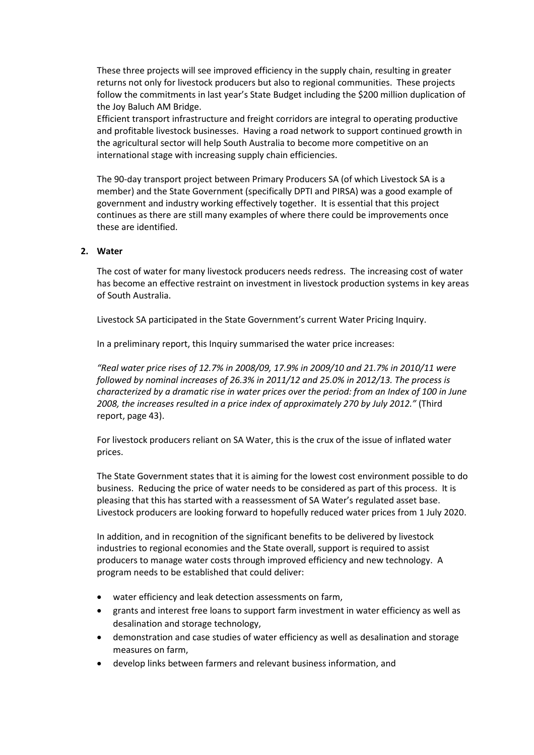These three projects will see improved efficiency in the supply chain, resulting in greater returns not only for livestock producers but also to regional communities. These projects follow the commitments in last year's State Budget including the \$200 million duplication of the Joy Baluch AM Bridge.

Efficient transport infrastructure and freight corridors are integral to operating productive and profitable livestock businesses. Having a road network to support continued growth in the agricultural sector will help South Australia to become more competitive on an international stage with increasing supply chain efficiencies.

The 90-day transport project between Primary Producers SA (of which Livestock SA is a member) and the State Government (specifically DPTI and PIRSA) was a good example of government and industry working effectively together. It is essential that this project continues as there are still many examples of where there could be improvements once these are identified.

# **2. Water**

The cost of water for many livestock producers needs redress. The increasing cost of water has become an effective restraint on investment in livestock production systems in key areas of South Australia.

Livestock SA participated in the State Government's current Water Pricing Inquiry.

In a preliminary report, this Inquiry summarised the water price increases:

*"Real water price rises of 12.7% in 2008/09, 17.9% in 2009/10 and 21.7% in 2010/11 were followed by nominal increases of 26.3% in 2011/12 and 25.0% in 2012/13. The process is characterized by a dramatic rise in water prices over the period: from an Index of 100 in June 2008, the increases resulted in a price index of approximately 270 by July 2012."* (Third report, page 43).

For livestock producers reliant on SA Water, this is the crux of the issue of inflated water prices.

The State Government states that it is aiming for the lowest cost environment possible to do business. Reducing the price of water needs to be considered as part of this process. It is pleasing that this has started with a reassessment of SA Water's regulated asset base. Livestock producers are looking forward to hopefully reduced water prices from 1 July 2020.

In addition, and in recognition of the significant benefits to be delivered by livestock industries to regional economies and the State overall, support is required to assist producers to manage water costs through improved efficiency and new technology. A program needs to be established that could deliver:

- water efficiency and leak detection assessments on farm,
- grants and interest free loans to support farm investment in water efficiency as well as desalination and storage technology,
- demonstration and case studies of water efficiency as well as desalination and storage measures on farm,
- develop links between farmers and relevant business information, and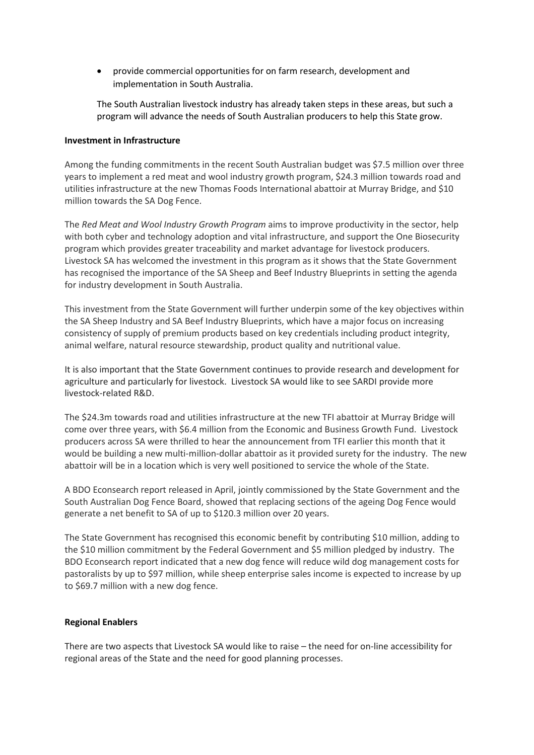• provide commercial opportunities for on farm research, development and implementation in South Australia.

The South Australian livestock industry has already taken steps in these areas, but such a program will advance the needs of South Australian producers to help this State grow.

## **Investment in Infrastructure**

Among the funding commitments in the recent South Australian budget was \$7.5 million over three years to implement a red meat and wool industry growth program, \$24.3 million towards road and utilities infrastructure at the new Thomas Foods International abattoir at Murray Bridge, and \$10 million towards the SA Dog Fence.

The *Red Meat and Wool Industry Growth Program* aims to improve productivity in the sector, help with both cyber and technology adoption and vital infrastructure, and support the One Biosecurity program which provides greater traceability and market advantage for livestock producers. Livestock SA has welcomed the investment in this program as it shows that the State Government has recognised the importance of the SA Sheep and Beef Industry Blueprints in setting the agenda for industry development in South Australia.

This investment from the State Government will further underpin some of the key objectives within the SA Sheep Industry and SA Beef Industry Blueprints, which have a major focus on increasing consistency of supply of premium products based on key credentials including product integrity, animal welfare, natural resource stewardship, product quality and nutritional value.

It is also important that the State Government continues to provide research and development for agriculture and particularly for livestock. Livestock SA would like to see SARDI provide more livestock-related R&D.

The \$24.3m towards road and utilities infrastructure at the new TFI abattoir at Murray Bridge will come over three years, with \$6.4 million from the Economic and Business Growth Fund. Livestock producers across SA were thrilled to hear the announcement from TFI earlier this month that it would be building a new multi-million-dollar abattoir as it provided surety for the industry. The new abattoir will be in a location which is very well positioned to service the whole of the State.

A BDO Econsearch report released in April, jointly commissioned by the State Government and the South Australian Dog Fence Board, showed that replacing sections of the ageing Dog Fence would generate a net benefit to SA of up to \$120.3 million over 20 years.

The State Government has recognised this economic benefit by contributing \$10 million, adding to the \$10 million commitment by the Federal Government and \$5 million pledged by industry. The BDO Econsearch report indicated that a new dog fence will reduce wild dog management costs for pastoralists by up to \$97 million, while sheep enterprise sales income is expected to increase by up to \$69.7 million with a new dog fence.

### **Regional Enablers**

There are two aspects that Livestock SA would like to raise – the need for on-line accessibility for regional areas of the State and the need for good planning processes.